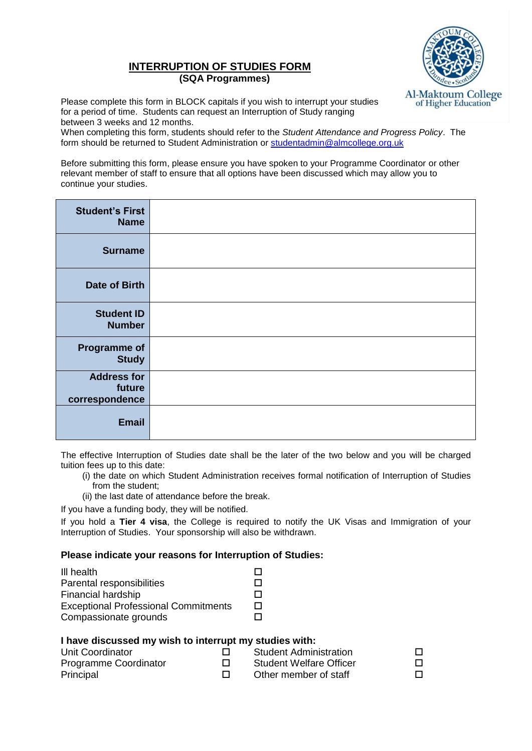## **INTERRUPTION OF STUDIES FORM (SQA Programmes)**



Please complete this form in BLOCK capitals if you wish to interrupt your studies for a period of time. Students can request an Interruption of Study ranging between 3 weeks and 12 months.

When completing this form, students should refer to the *Student Attendance and Progress Policy*. The form should be returned to Student Administration or [studentadmin@almcollege.org.uk](mailto:studentadmin@almcollege.org.uk)

Before submitting this form, please ensure you have spoken to your Programme Coordinator or other relevant member of staff to ensure that all options have been discussed which may allow you to continue your studies.

| <b>Student's First</b><br><b>Name</b>          |  |
|------------------------------------------------|--|
| <b>Surname</b>                                 |  |
| <b>Date of Birth</b>                           |  |
| <b>Student ID</b><br><b>Number</b>             |  |
| <b>Programme of</b><br><b>Study</b>            |  |
| <b>Address for</b><br>future<br>correspondence |  |
| <b>Email</b>                                   |  |

The effective Interruption of Studies date shall be the later of the two below and you will be charged tuition fees up to this date:

- (i) the date on which Student Administration receives formal notification of Interruption of Studies from the student;
- (ii) the last date of attendance before the break.

If you have a funding body, they will be notified.

If you hold a **Tier 4 visa**, the College is required to notify the UK Visas and Immigration of your Interruption of Studies. Your sponsorship will also be withdrawn.

## **Please indicate your reasons for Interruption of Studies:**

| П |
|---|
| П |
| П |
|   |

## **I have discussed my wish to interrupt my studies with:**

| Unit Coordinator      | <b>Student Administration</b>  |  |
|-----------------------|--------------------------------|--|
| Programme Coordinator | <b>Student Welfare Officer</b> |  |
| Principal             | Other member of staff          |  |